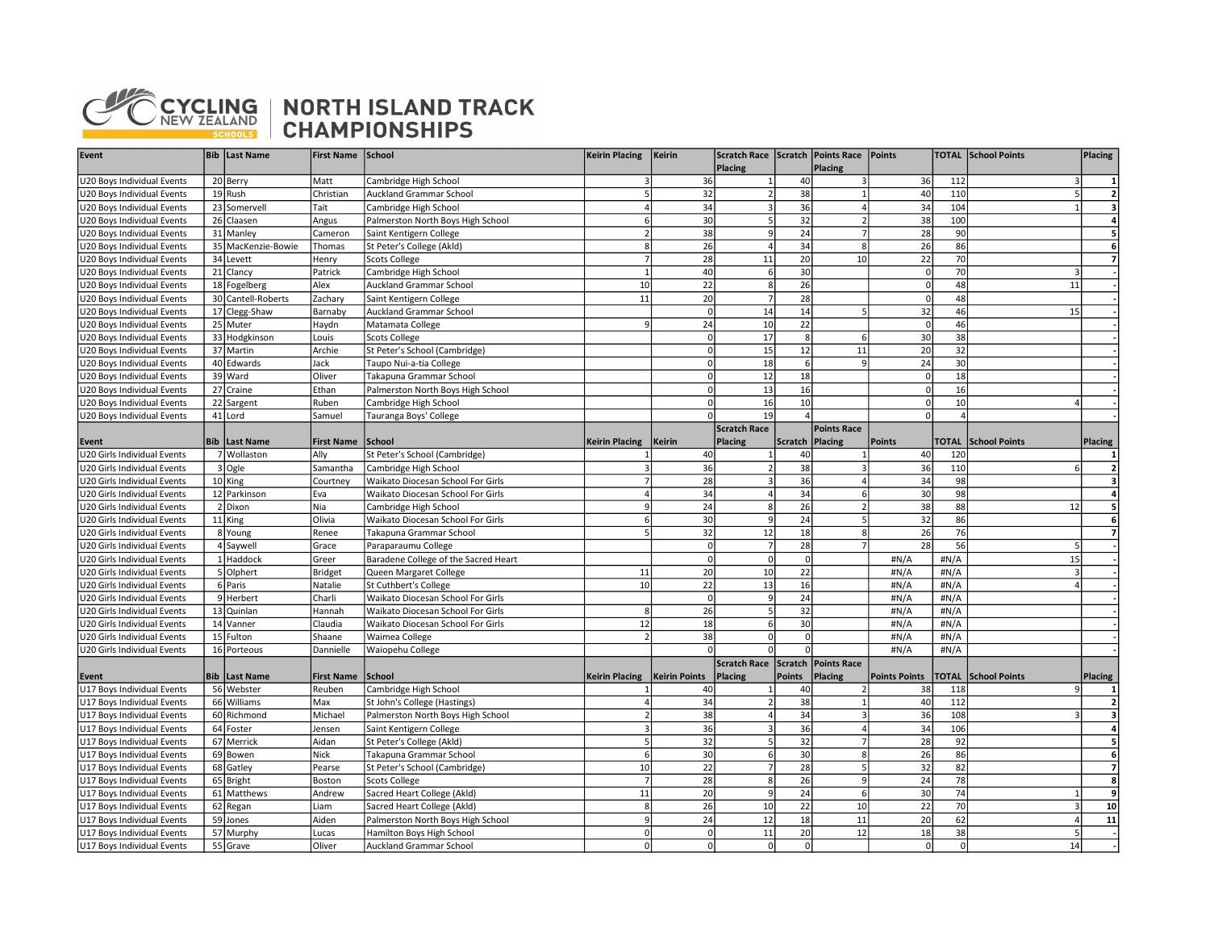

## **SOURG NORTH ISLAND TRACK**

| Event                               | <b>Bib Last Name</b> | First Name School |                                      | <b>Keirin Placing</b>   | Keirin               | Scratch Race Scratch Points Race Points |                   |                       |                      |                 | <b>TOTAL School Points</b> | Placing                      |
|-------------------------------------|----------------------|-------------------|--------------------------------------|-------------------------|----------------------|-----------------------------------------|-------------------|-----------------------|----------------------|-----------------|----------------------------|------------------------------|
|                                     |                      |                   |                                      |                         |                      | Placing                                 |                   | Placing               |                      |                 |                            |                              |
| U20 Boys Individual Events          | 20 Berry             | Matt              | Cambridge High School                |                         | 36                   |                                         | 40                | 3                     | 36                   | 112             |                            | 1                            |
| U20 Boys Individual Events          | 19 Rush              | Christian         | Auckland Grammar School              | 5                       | 32                   |                                         | 38                | 1                     | 40                   | 110             | 5                          | $\overline{2}$               |
| U20 Boys Individual Events          | 23 Somervell         | Tait              | Cambridge High School                |                         | 34                   | 3                                       | 36                | $\overline{4}$        | 34                   | 104             |                            | 3                            |
| U20 Boys Individual Events          | 26 Claasen           | Angus             | Palmerston North Boys High School    |                         | 30                   | 5                                       | 32                | $\overline{2}$        | 38                   | 100             |                            | 4                            |
| U20 Boys Individual Events          | 31 Manley            | Cameron           | Saint Kentigern College              |                         | 38                   |                                         | 24                | $\overline{7}$        | 28                   | 90              |                            | 5                            |
| U20 Boys Individual Events          | 35 MacKenzie-Bowie   | Thomas            | St Peter's College (Akld)            | $\mathsf{\overline{R}}$ | 26                   |                                         | 34                | 8                     | 26                   | 86              |                            | 6                            |
| U20 Boys Individual Events          | 34 Levett            | Henry             | <b>Scots College</b>                 | $\overline{7}$          | 28                   | 11                                      | 20                | 10 <sup>1</sup>       | 22                   | 70              |                            | $\overline{\phantom{a}}$     |
| U20 Boys Individual Events          | 21 Clancy            | Patrick           | Cambridge High School                |                         | 40                   | 6                                       | 30                |                       | $\Omega$             | 70              |                            |                              |
| U20 Boys Individual Events          | 18 Fogelberg         | Alex              | <b>Auckland Grammar School</b>       | 10                      | 22                   | 8                                       | 26                |                       | $\Omega$             | 48              | 11                         |                              |
| U20 Boys Individual Events          | 30 Cantell-Roberts   | Zachary           | Saint Kentigern College              | 11                      | 20                   | $\overline{7}$                          | 28                |                       | $\overline{0}$       | 48              |                            |                              |
| U20 Boys Individual Events          | 17 Clegg-Shaw        | Barnaby           | Auckland Grammar School              |                         | 0l                   | 14                                      | 14                | 5                     | 32                   | 46              | 15                         |                              |
| U20 Boys Individual Events          | 25 Muter             | Haydn             | Matamata College                     |                         | 24                   | 10                                      | 22                |                       | $\overline{0}$       | 46              |                            |                              |
| U20 Boys Individual Events          | 33 Hodgkinson        | Louis             | <b>Scots College</b>                 |                         | $\Omega$             | 17                                      | 8 <sup>1</sup>    | 6                     | 30                   | 38              |                            |                              |
| U20 Boys Individual Events          | 37 Martin            | Archie            | St Peter's School (Cambridge)        |                         | $\Omega$             | 15                                      | 12                | 11                    | 20                   | 32              |                            |                              |
| U20 Boys Individual Events          | 40 Edwards           | Jack              | Taupo Nui-a-tia College              |                         | $\Omega$             | 18                                      | $6 \mid$          | q                     | 24                   | 30              |                            |                              |
| U20 Boys Individual Events          | 39 Ward              | Oliver            | Takapuna Grammar School              |                         | $\Omega$             | 12                                      | 18                |                       | 0                    | 18              |                            |                              |
| U20 Boys Individual Events          | 27 Craine            | Ethan             | Palmerston North Boys High School    |                         | O                    | 13                                      | 16                |                       | $\Omega$             | 16              |                            |                              |
| U20 Boys Individual Events          | 22 Sargent           | Ruben             | Cambridge High School                |                         | <sup>0</sup>         | 16                                      | 10                |                       | $\Omega$             | 10              |                            |                              |
| U20 Boys Individual Events          | 41 Lord              | Samuel            | Tauranga Boys' College               |                         | ΩI                   | 19                                      | $\Delta$          |                       | $\Omega$             | $\Delta$        |                            |                              |
|                                     |                      |                   |                                      |                         |                      | Scratch Race                            |                   | <b>Points Race</b>    |                      |                 |                            |                              |
| Event                               | <b>Bib Last Name</b> | <b>First Name</b> | School                               | <b>Keirin Placing</b>   | Keirin               | Placing                                 | Scratch   Placing |                       | Points               |                 | <b>TOTAL School Points</b> | <b>Placing</b>               |
| U20 Girls Individual Events         | 7 Wollaston          | Ally              | St Peter's School (Cambridge)        |                         | 40                   |                                         | 40                | $\mathbf{1}$          | 40                   | 120             |                            | 1                            |
| U20 Girls Individual Events         | 3 Ogle               | Samantha          | Cambridge High School                |                         | 36                   |                                         | 38                | 3                     | 36                   | 110             |                            | $\overline{\mathbf{2}}$      |
| U20 Girls Individual Events         | 10 King              | Courtney          | Waikato Diocesan School For Girls    |                         | 28                   |                                         | 36                | $\overline{4}$        | 34                   | 98              |                            | 3                            |
| U20 Girls Individual Events         | 12 Parkinson         | Eva               | Waikato Diocesan School For Girls    |                         | 34                   |                                         | 34                | $6 \mid$              | 30                   | 98              |                            | 4                            |
| U20 Girls Individual Events         | 2 Dixon              | Nia               | Cambridge High School                | q                       | 24                   | 8                                       | 26                | 2                     | 38                   | 88              | 12                         | 5                            |
| U20 Girls Individual Events         | 11 King              | Olivia            | Waikato Diocesan School For Girls    |                         | 30                   | $\mathsf{q}$                            | 24                | 5                     | 32                   | 86              |                            | 6                            |
| U20 Girls Individual Events         | 8 Young              | Renee             | Takapuna Grammar School              |                         | 32                   | 12                                      | 18                | 8 <sup>1</sup>        | 26                   | 76              |                            | $\overline{\phantom{a}}$     |
| U20 Girls Individual Events         | 4 Saywell            | Grace             | Paraparaumu College                  |                         | $\Omega$             | $\overline{7}$                          | 28                | 7                     | 28                   | 56              | 5                          |                              |
| U20 Girls Individual Events         | 1 Haddock            | Greer             | Baradene College of the Sacred Heart |                         | $\Omega$             | $\Omega$                                | $\overline{0}$    |                       | #N/A                 | #N/A            | 15                         |                              |
| U20 Girls Individual Events         | 5 Olphert            | Bridget           | Queen Margaret College               | 11                      | 20                   | 10                                      | $\overline{22}$   |                       | #N/A                 | #N/A            |                            |                              |
| U20 Girls Individual Events         | 6 Paris              | Natalie           | St Cuthbert's College                | 10                      | 22                   | 13                                      | 16                |                       | #N/A                 | #N/A            |                            |                              |
| U20 Girls Individual Events         | 9 Herbert            | Charli            | Waikato Diocesan School For Girls    |                         | $\Omega$             | $\mathsf{q}$                            | 24                |                       | #N/A                 | #N/A            |                            |                              |
| U20 Girls Individual Events         | 13 Quinlan           | Hannah            | Waikato Diocesan School For Girls    | 8                       | 26                   | 5                                       | 32                |                       | #N/A                 | #N/A            |                            |                              |
| U20 Girls Individual Events         | 14 Vanner            | Claudia           | Waikato Diocesan School For Girls    | 12                      | 18                   | 6                                       | 30                |                       | #N/A                 | #N/A            |                            |                              |
| U20 Girls Individual Events         | 15 Fulton            | Shaane            |                                      |                         | 38                   | $\Omega$                                | $\Omega$          |                       | #N/A                 | #N/A            |                            |                              |
| U20 Girls Individual Events         | 16 Porteous          | Dannielle         | Waimea College<br>Waiopehu College   |                         | $\Omega$             | $\Omega$                                | $\Omega$          |                       | #N/A                 | #N/A            |                            |                              |
|                                     |                      |                   |                                      |                         |                      | Scratch Race                            |                   | Scratch   Points Race |                      |                 |                            |                              |
|                                     | <b>Bib Last Name</b> | <b>First Name</b> | <b>School</b>                        | <b>Keirin Placing</b>   | <b>Keirin Points</b> | Placing                                 | Points            | Placing               | <b>Points Points</b> |                 | <b>TOTAL School Points</b> |                              |
| Event<br>U17 Boys Individual Events | 56 Webster           | Reuben            |                                      |                         | 40                   |                                         | 40                | $\overline{2}$        |                      | 118             |                            | <b>Placing</b>               |
|                                     | 66 Williams          | Max               | Cambridge High School                |                         | 34                   |                                         | 38                | 1                     | 38<br>40             | 112             |                            | 1<br>$\overline{\mathbf{2}}$ |
| U17 Boys Individual Events          | 60 Richmond          | Michael           | St John's College (Hastings)         |                         | 38                   |                                         | 34                | $\overline{3}$        | 36                   | 108             |                            | 3                            |
| U17 Boys Individual Events          |                      |                   | Palmerston North Boys High School    |                         | 36                   |                                         | 36                |                       | 34                   | 106             |                            |                              |
| U17 Boys Individual Events          | 64 Foster            | Jensen            | Saint Kentigern College              | 3                       |                      | 3<br>5                                  |                   | $\overline{4}$        |                      |                 |                            | 4                            |
| U17 Boys Individual Events          | 67 Merrick           | Aidan             | St Peter's College (Akld)            |                         | 32                   |                                         | 32                | 7                     | 28                   | 92              |                            | 5                            |
| U17 Boys Individual Events          | 69 Bowen             | Nick              | Takapuna Grammar School              | 6                       | 30                   | 6                                       | 30                | 8                     | 26                   | 86              |                            | 6                            |
| U17 Boys Individual Events          | 68 Gatley            | Pearse            | St Peter's School (Cambridge)        | 10                      | 22                   | $\overline{7}$                          | 28                | 5 <sub>l</sub>        | 32                   | 82              |                            | $\overline{7}$               |
| U17 Boys Individual Events          | 65 Bright            | Boston            | <b>Scots College</b>                 | $\overline{7}$          | 28                   | 8                                       | 26                | $\overline{9}$        | 24                   | 78              |                            | 8                            |
| U17 Boys Individual Events          | 61 Matthews          | Andrew            | Sacred Heart College (Akld)          | 11                      | 20                   | 9                                       | 24                | $6 \overline{6}$      | 30                   | 74              |                            | 9                            |
| U17 Boys Individual Events          | 62 Regan             | Liam              | Sacred Heart College (Akld)          |                         | $\overline{26}$      | 10                                      | 22                | 10                    | 22                   | $\overline{70}$ |                            | 10                           |
| U17 Boys Individual Events          | 59 Jones             | Aiden             | Palmerston North Boys High School    |                         | 24                   | 12                                      | 18                | 11                    | 20                   | 62              |                            | 11                           |
| U17 Boys Individual Events          | 57 Murphy            | Lucas             | Hamilton Boys High School            | $\Omega$                | $\Omega$             | 11                                      | 20                | 12                    | 18                   | 38              |                            |                              |
| U17 Boys Individual Events          | 55 Grave             | Oliver            | <b>Auckland Grammar School</b>       | $\Omega$                | 0l                   | $\circ$                                 | 0                 |                       | 0                    | $\circ$         | 14                         |                              |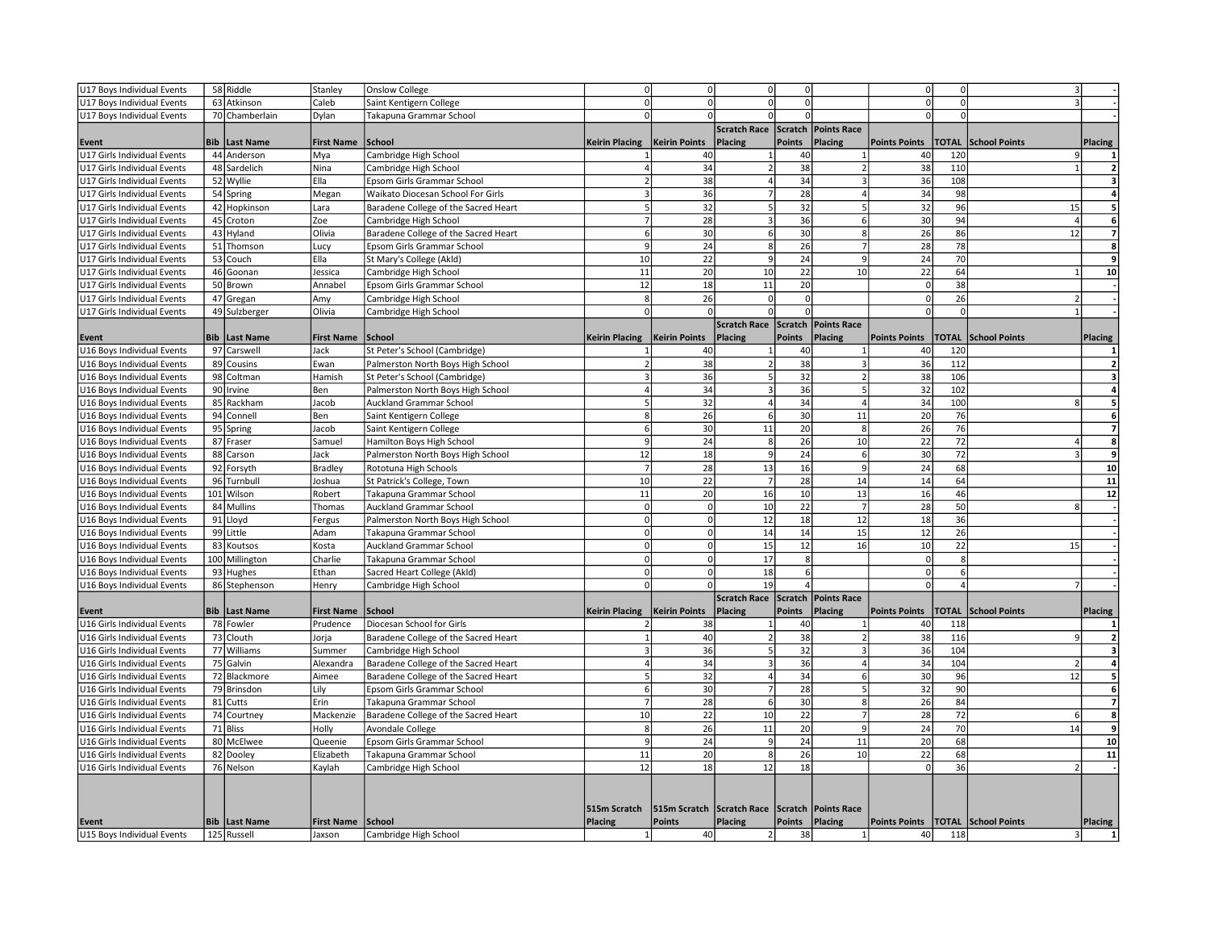| U17 Boys Individual Events  |     | 58 Riddle            | Stanley           | <b>Onslow College</b>                | $\mathbf{0}$          |                      | $\Omega$                | $\Omega$       |                       | $\mathbf 0$          |                 | 3                          |                |                           |
|-----------------------------|-----|----------------------|-------------------|--------------------------------------|-----------------------|----------------------|-------------------------|----------------|-----------------------|----------------------|-----------------|----------------------------|----------------|---------------------------|
| U17 Boys Individual Events  |     | 63 Atkinson          | Caleb             | Saint Kentigern College              | $\Omega$              | οl                   | $\Omega$                | 0l             |                       | 0                    | $\Omega$        | з                          |                |                           |
| U17 Boys Individual Events  |     | 70 Chamberlain       | Dylan             | Takapuna Grammar School              | O                     | <sub>0</sub>         | $\Omega$                | <sub>0</sub>   |                       | <sup>o</sup>         | $\Omega$        |                            |                |                           |
|                             |     |                      |                   |                                      |                       |                      | <b>Scratch Race</b>     |                | Scratch   Points Race |                      |                 |                            |                |                           |
| Event                       | Bib | <b>Last Name</b>     | <b>First Name</b> | School                               | <b>Keirin Placing</b> | Keirin Points        | Placing                 | Points         | Placing               | <b>Points Points</b> |                 | <b>TOTAL School Points</b> | <b>Placing</b> |                           |
| U17 Girls Individual Events |     | 44 Anderson          | Mya               | Cambridge High School                |                       | 40                   |                         | 40             | $\mathbf{1}$          | 40                   | 120             | 9                          |                | $\mathbf{1}$              |
| U17 Girls Individual Events |     | 48 Sardelich         | Nina              | Cambridge High School                |                       | 34                   | $\overline{2}$          | 38             | 2                     | 38                   | 110             | $\overline{1}$             |                | $\mathbf 2$               |
| U17 Girls Individual Events |     | 52 Wyllie            | Ella              | Epsom Girls Grammar School           |                       | 38                   | 4                       | 34             | $\overline{3}$        | 36                   | 108             |                            |                | $\ensuremath{\mathsf{3}}$ |
| U17 Girls Individual Events |     | 54 Spring            | Megan             | Waikato Diocesan School For Girls    |                       | 36                   | $\overline{7}$          | 28             | $\overline{4}$        | 34                   | 98              |                            |                | $\overline{a}$            |
| U17 Girls Individual Events |     | 42 Hopkinson         | l Lara            | Baradene College of the Sacred Heart |                       | 32                   | 5                       | 32             | 5                     | 32                   | 96              | 15                         |                | 5                         |
| U17 Girls Individual Events |     | 45 Croton            | Zoe               | Cambridge High School                | $\overline{7}$        | 28                   | 3                       | 36             | $6 \mid$              | 30                   | 94              | $\overline{4}$             |                | $6 \overline{6}$          |
| U17 Girls Individual Events |     | 43 Hyland            | Olivia            | Baradene College of the Sacred Heart | 6                     | 30                   | 6                       | 30             | 8                     | 26                   | 86              | 12                         |                | $\overline{7}$            |
| U17 Girls Individual Events |     | 51 Thomson           | Lucy              | Epsom Girls Grammar School           | $\mathsf{g}$          | 24                   | $\mathbf{8}$            | 26             | 7                     | 28                   | 78              |                            |                | 8                         |
| U17 Girls Individual Events |     | 53 Couch             | Ella              | St Mary's College (Akld)             | 10                    | 22                   | 9                       | 24             | 9                     | 24                   | 70              |                            |                | 9                         |
| U17 Girls Individual Events |     | 46 Goonan            | Jessica           | Cambridge High School                | 11                    | 20                   | 10                      | 22             | 10                    | 22                   | 64              |                            |                | 10                        |
| U17 Girls Individual Events |     | 50 Brown             | Annabel           | Epsom Girls Grammar School           | 12                    | 18                   | $11\,$                  | 20             |                       | 0                    | 38              |                            |                |                           |
| U17 Girls Individual Events |     | 47 Gregan            | Amy               | Cambridge High School                | $\mathbf{g}$          | 26                   | $\Omega$                | $\overline{0}$ |                       | 0                    | 26              | $\mathfrak{p}$             |                |                           |
| U17 Girls Individual Events |     | 49 Sulzberger        | Olivia            | Cambridge High School                | $\overline{0}$        | $\overline{0}$       | $\Omega$                | οl             |                       | 0                    | $\Omega$        | $\mathbf{1}$               |                |                           |
|                             |     |                      |                   |                                      |                       |                      | <b>Scratch Race</b>     |                | Scratch   Points Race |                      |                 |                            |                |                           |
| Event                       |     | <b>Bib Last Name</b> | <b>First Name</b> | School                               | <b>Keirin Placing</b> | <b>Keirin Points</b> | Placing                 | Points         | Placing               | <b>Points Points</b> |                 | <b>TOTAL School Points</b> | Placing        |                           |
| U16 Boys Individual Events  |     | 97 Carswell          | Jack              | St Peter's School (Cambridge)        |                       | 40                   | $\overline{1}$          | 40             | $\mathbf{1}$          | 40                   | 120             |                            |                | $\mathbf{1}$              |
| U16 Boys Individual Events  | 89  | Cousins              | Ewan              | Palmerston North Boys High School    |                       | 38                   | $\overline{2}$          | 38             | $\overline{3}$        | 36                   | 112             |                            |                | $\mathbf{2}$              |
| U16 Boys Individual Events  |     | 98 Coltman           | Hamish            | St Peter's School (Cambridge)        |                       | 36                   | 5                       | 32             | $\overline{2}$        | 38                   | 106             |                            |                | $\overline{\mathbf{3}}$   |
| U16 Boys Individual Events  |     | 90 Irvine            | Ben               | Palmerston North Boys High School    |                       | 34                   | 3                       | 36             | 5                     | 32                   | 102             |                            |                | $\overline{4}$            |
| U16 Boys Individual Events  |     | 85 Rackham           | Jacob             | Auckland Grammar School              |                       | 32                   | $\overline{a}$          | 34             | 4                     | 34                   | 100             | $\mathsf{\mathsf{R}}$      |                | 5 <sub>5</sub>            |
| U16 Boys Individual Events  |     | 94 Connell           | Ben               | Saint Kentigern College              |                       | 26                   | 6                       | 30             | 11                    | 20                   | 76              |                            |                | $6 \overline{6}$          |
| U16 Boys Individual Events  |     | 95 Spring            | Jacob             | Saint Kentigern College              | $6 \mid$              | 30                   | 11                      | 20             | 8                     | 26                   | 76              |                            |                | $\overline{7}$            |
| U16 Boys Individual Events  |     | 87 Fraser            | Samuel            | Hamilton Boys High School            | 9                     | 24                   | $\mathbf{R}$            | 26             | 10 <sup>1</sup>       | 22                   | 72              | 4                          |                | 8                         |
| U16 Boys Individual Events  |     | 88 Carson            | Jack              | Palmerston North Boys High School    | 12                    | 18                   | $\mathbf{Q}$            | 24             | 6                     | 30                   | 72              | $\overline{\mathbf{3}}$    |                | 9                         |
| U16 Boys Individual Events  |     | 92 Forsyth           | <b>Bradley</b>    | Rototuna High Schools                |                       | 28                   | 13                      | 16             | $\overline{9}$        | 24                   | 68              |                            |                | 10                        |
| U16 Boys Individual Events  |     | 96 Turnbull          | Joshua            | St Patrick's College, Town           | 10                    | 22                   | $\overline{7}$          | 28             | 14                    | 14                   | 64              |                            |                | 11                        |
| U16 Boys Individual Events  |     | 101 Wilson           | Robert            | Takapuna Grammar School              | 11                    | 20                   | 16                      | 10             | 13                    | 16                   | 46              |                            |                | 12                        |
| U16 Boys Individual Events  |     | 84 Mullins           | Thomas            | Auckland Grammar School              | $\Omega$              | $\mathsf{O}\xspace$  | 10                      | 22             | $\overline{7}$        | 28                   | 50              | 8                          |                |                           |
| U16 Boys Individual Events  |     | 91 Lloyd             | Fergus            | Palmerston North Boys High School    | $\Omega$              | 0                    | 12                      | 18             | 12                    | 18                   | 36              |                            |                |                           |
| U16 Boys Individual Events  |     | 99 Little            | Adam              | Takapuna Grammar School              | $\Omega$              | $\Omega$             | 14                      | 14             | 15                    | 12                   | $\overline{26}$ |                            |                |                           |
| U16 Boys Individual Events  |     | 83 Koutsos           | Kosta             | Auckland Grammar School              | $\Omega$              | 0l                   | 15                      | 12             | 16                    | 10                   | 22              | 15                         |                |                           |
| U16 Boys Individual Events  |     | 100 Millington       | Charlie           | Takapuna Grammar School              | $\Omega$              | $\Omega$             | 17                      | 8              |                       | 0                    | 8               |                            |                |                           |
| U16 Boys Individual Events  |     | 93 Hughes            | Ethan             | Sacred Heart College (Akld)          | $\Omega$              | $\mathbf{0}$         | 18                      | 6              |                       | $\mathbf 0$          | 6               |                            |                |                           |
| U16 Boys Individual Events  |     | 86 Stephenson        | Henry             | Cambridge High School                | $\overline{0}$        | $\Omega$             | 19                      | 4              |                       | $\mathbf 0$          | $\overline{4}$  | $\overline{7}$             |                |                           |
|                             |     |                      |                   |                                      |                       |                      | <b>Scratch Race</b>     |                | Scratch   Points Race |                      |                 |                            |                |                           |
| Event                       |     | <b>Bib Last Name</b> | <b>First Name</b> | School                               | <b>Keirin Placing</b> | <b>Keirin Points</b> | Placing                 | Points         | Placing               | <b>Points Points</b> |                 | <b>TOTAL School Points</b> | Placing        |                           |
| U16 Girls Individual Events |     | 78 Fowler            | Prudence          | Diocesan School for Girls            |                       | 38                   |                         | 40             | $\mathbf{1}$          | 40                   | 118             |                            |                | $1\overline{ }$           |
| U16 Girls Individual Events |     | 73 Clouth            | Jorja             | Baradene College of the Sacred Heart |                       | 40                   | $\overline{2}$          | 38             | 2                     | 38                   | 116             | q                          |                | $\overline{2}$            |
| U16 Girls Individual Events |     | 77 Williams          | Summer            | Cambridge High School                | $\mathbf{a}$          | 36                   | 5                       | 32             | $\overline{3}$        | 36                   | 104             |                            |                | $\overline{\mathbf{3}}$   |
| U16 Girls Individual Events |     | 75 Galvin            | Alexandra         | Baradene College of the Sacred Heart |                       | 34                   | $\overline{\mathbf{3}}$ | 36             | $\overline{4}$        | 34                   | 104             | $\overline{2}$             |                | $\overline{4}$            |
| U16 Girls Individual Events |     | 72 Blackmore         | Aimee             | Baradene College of the Sacred Heart |                       | 32                   | 4                       | 34             | 6                     | 30                   | 96              | 12                         |                | 5 <sub>l</sub>            |
| U16 Girls Individual Events |     | 79 Brinsdon          | Lily              | Epsom Girls Grammar School           |                       | 30                   | $\overline{7}$          | 28             | 5                     | 32                   | 90              |                            |                | $6 \overline{6}$          |
| U16 Girls Individual Events |     | 81 Cutts             | Erin              | Takapuna Grammar School              |                       | 28                   | 6                       | 30             | 8 <sup>1</sup>        | 26                   | 84              |                            |                | $\overline{7}$            |
| U16 Girls Individual Events |     | 74 Courtney          | Mackenzie         | Baradene College of the Sacred Heart | 10                    | 22                   | 10                      | 22             | $\overline{7}$        | 28                   | 72              | 6                          |                | 8                         |
| U16 Girls Individual Events |     | 71 Bliss             | Holly             | Avondale College                     | 8                     | 26                   | 11                      | 20             | او                    | 24                   | 70              | 14                         |                | 9                         |
| U16 Girls Individual Events |     | 80 McElwee           | Queenie           | Epsom Girls Grammar School           |                       | 24                   | q                       | 24             | 11                    | 20                   | 68              |                            |                | 10                        |
| U16 Girls Individual Events |     | 82 Dooley            | Elizabeth         | Takapuna Grammar School              | 11                    | 20                   | 8                       | 26             | 10                    | 22                   | 68              |                            |                | 11                        |
| U16 Girls Individual Events |     | 76 Nelson            | Kaylah            | Cambridge High School                | 12                    | 18                   | 12                      | 18             |                       | 0                    | 36              | $\mathfrak{p}$             |                |                           |
|                             |     |                      |                   |                                      |                       |                      |                         |                |                       |                      |                 |                            |                |                           |
|                             |     |                      |                   |                                      |                       |                      |                         |                |                       |                      |                 |                            |                |                           |
|                             |     |                      |                   |                                      | 515m Scratch          | 515m Scratch         | Scratch Race            |                | Scratch   Points Race |                      |                 |                            |                |                           |
| Event                       | Bib | <b>Last Name</b>     | <b>First Name</b> | School                               | <b>Placing</b>        | <b>Points</b>        | Placing                 | <b>Points</b>  | Placing               | <b>Points Points</b> |                 | <b>TOTAL School Points</b> | Placing        |                           |
| U15 Boys Individual Events  |     | 125 Russell          | Jaxson            | Cambridge High School                | $\mathbf{1}$          | 40                   | 2                       | 38             | $1\vert$              | 40                   | 118             | 3 <sup>1</sup>             |                | $\mathbf{1}$              |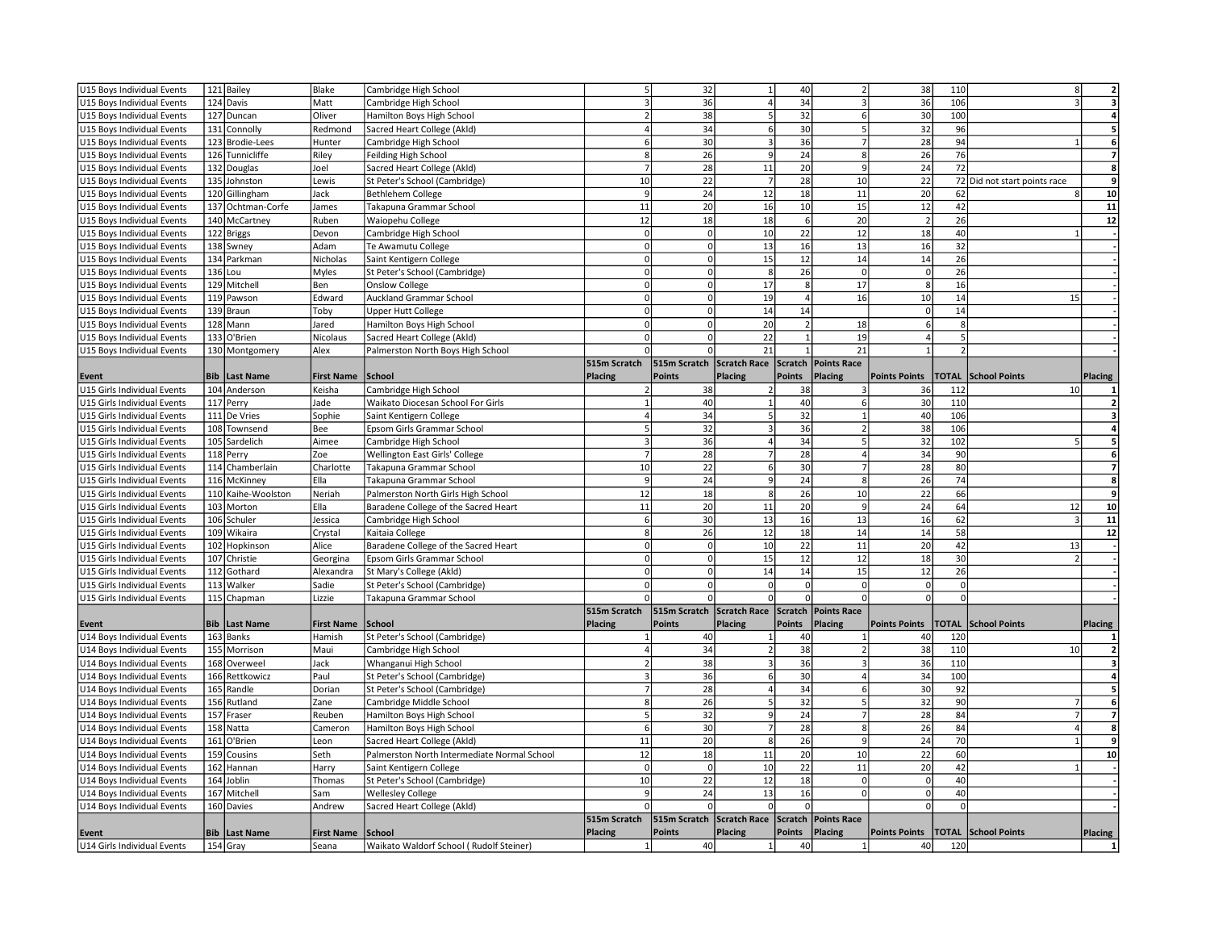| U15 Boys Individual Events  |            | 121 Bailey           | Blake             | Cambridge High School                       |                         | 32                                                  | $\mathbf{1}$   | 40              | 2                   | 38                                  | 110                      | 8                            |                | $\overline{2}$          |
|-----------------------------|------------|----------------------|-------------------|---------------------------------------------|-------------------------|-----------------------------------------------------|----------------|-----------------|---------------------|-------------------------------------|--------------------------|------------------------------|----------------|-------------------------|
| U15 Boys Individual Events  |            | 124 Davis            | Matt              | Cambridge High School                       |                         | 36                                                  | $\overline{a}$ | 34              | $\overline{3}$      | 36                                  | 106                      | $\overline{\mathbf{3}}$      |                | $\overline{\mathbf{3}}$ |
| U15 Boys Individual Events  |            | 127 Duncan           | Oliver            | Hamilton Boys High School                   |                         | 38                                                  |                | $\overline{32}$ | 6                   | 30                                  | 100                      |                              |                | $\overline{\mathbf{4}}$ |
| U15 Boys Individual Events  |            | 131 Connolly         | <b>Redmond</b>    | Sacred Heart College (Akld)                 |                         | 34                                                  | 6              | 30              | 5                   | 32                                  | 96                       |                              |                | $\overline{\mathbf{5}}$ |
| U15 Boys Individual Events  |            | 123 Brodie-Lees      | Hunter            | Cambridge High School                       |                         | 30                                                  | 3              | 36              | $\overline{7}$      | 28                                  | 94                       |                              |                | $6 \overline{6}$        |
| U15 Boys Individual Events  |            | 126 Tunnicliffe      | Riley             | Feilding High School                        | 8 <sup>1</sup>          | 26                                                  | 9              | 24              | 8                   | 26                                  | 76                       |                              |                | $\overline{7}$          |
| U15 Boys Individual Events  |            | 132 Douglas          | Joel              | Sacred Heart College (Akld)                 |                         | 28                                                  | 11             | 20              | $\overline{9}$      | $\overline{24}$                     | $\overline{72}$          |                              |                | 8                       |
| U15 Boys Individual Events  |            | 135 Johnston         | Lewis             | St Peter's School (Cambridge)               | 10                      | 22                                                  | $\overline{7}$ | 28              | 10                  | 22                                  |                          | 72 Did not start points race |                | $\overline{9}$          |
| U15 Boys Individual Events  |            | 120 Gillingham       | Jack              | Bethlehem College                           | 9                       | 24                                                  | 12             | 18              | 11                  | 20                                  | 62                       | 8                            |                | 10                      |
| U15 Boys Individual Events  |            | 137 Ochtman-Corfe    | James             | Takapuna Grammar School                     | 11                      | 20                                                  | 16             | 10              | 15                  | 12                                  | 42                       |                              |                | 11                      |
| U15 Boys Individual Events  |            | 140 McCartney        | Ruben             | Waiopehu College                            | 12                      | 18                                                  | 18             | 6               | 20                  | $\overline{2}$                      | 26                       |                              |                | 12                      |
| U15 Boys Individual Events  |            | 122 Briggs           | Devon             | Cambridge High School                       | $\Omega$                | $\overline{0}$                                      | 10             | 22              | 12                  | 18                                  | 40                       |                              |                |                         |
| U15 Boys Individual Events  |            | 138 Swney            | Adam              | Te Awamutu College                          | $\Omega$                | $\mathbf 0$                                         | 13             | 16              | 13                  | 16                                  | 32                       |                              |                |                         |
| U15 Boys Individual Events  |            | 134 Parkman          | Nicholas          | Saint Kentigern College                     | $\Omega$                | $\Omega$                                            | 15             | 12              | 14                  | 14                                  | 26                       |                              |                |                         |
| U15 Boys Individual Events  |            | 136 Lou              | Myles             | St Peter's School (Cambridge)               | $\overline{0}$          | $\overline{0}$                                      | 8              | 26              | 0                   | 0                                   | 26                       |                              |                |                         |
| U15 Boys Individual Events  |            | 129 Mitchell         | Ben               | <b>Onslow College</b>                       | $\Omega$                | $\mathbf{0}$                                        | 17             | 8               | 17                  | 8                                   | 16                       |                              |                |                         |
| U15 Boys Individual Events  |            | 119 Pawson           | Edward            | <b>Auckland Grammar School</b>              | $\Omega$                | $\mathbf{0}$                                        | 19             | $\overline{4}$  | 16                  | 10                                  | 14                       | 15                           |                |                         |
| U15 Boys Individual Events  |            | 139 Braun            | Toby              | <b>Upper Hutt College</b>                   |                         | $\Omega$                                            | 14             | 14              |                     | $\mathbf 0$                         | $\overline{14}$          |                              |                |                         |
|                             |            | 128 Mann             |                   |                                             | $\Omega$                | $\Omega$                                            | 20             | $\overline{2}$  | 18                  | 6                                   | 8                        |                              |                |                         |
| U15 Boys Individual Events  |            |                      | Jared             | Hamilton Boys High School                   |                         | $\Omega$                                            | 22             | $\mathbf{1}$    | 19                  | $\overline{4}$                      | 5                        |                              |                |                         |
| U15 Boys Individual Events  |            | 133 O'Brien          | Nicolaus          | Sacred Heart College (Akld)                 | Ωl                      | οI                                                  | 21             | 1               | 21                  | $\mathbf{1}$                        | $\overline{\phantom{a}}$ |                              |                |                         |
| U15 Boys Individual Events  |            | 130 Montgomery       | Alex              | Palmerston North Boys High School           | 515m Scratch            | 515m Scratch                                        | Scratch Race   |                 | Scratch Points Race |                                     |                          |                              |                |                         |
|                             | <b>Bib</b> |                      |                   |                                             |                         |                                                     | Placing        | Points          | Placing             |                                     | <b>TOTAL</b>             |                              |                |                         |
| Event                       |            | <b>Last Name</b>     | <b>First Name</b> | School                                      | <b>Placing</b>          | <b>Points</b>                                       | $\overline{2}$ |                 |                     | <b>Points Points</b>                |                          | <b>School Points</b>         | <b>Placing</b> |                         |
| U15 Girls Individual Events |            | 104 Anderson         | Keisha            | Cambridge High School                       | $\mathbf{1}$            | 38                                                  | $\mathbf{1}$   | 38              | 3                   | 36                                  | 112                      | 10                           |                | $\mathbf{1}$            |
| U15 Girls Individual Events |            | 117 Perry            | Jade              | Waikato Diocesan School For Girls           |                         | 40                                                  |                | 40              | 6                   | 30                                  | 110                      |                              |                | $\mathbf{2}$            |
| U15 Girls Individual Events |            | 111 De Vries         | Sophie            | Saint Kentigern College                     |                         | 34                                                  |                | 32              | $\mathbf{1}$        | 40                                  | 106                      |                              |                | $\overline{\mathbf{3}}$ |
| U15 Girls Individual Events |            | 108 Townsend         | Bee               | Epsom Girls Grammar School                  |                         | 32                                                  | 3              | 36              | $\overline{2}$      | 38                                  | 106                      |                              |                | $\overline{\mathbf{4}}$ |
| U15 Girls Individual Events |            | 105 Sardelich        | Aimee             | Cambridge High School                       |                         | 36                                                  | 4              | 34              | 5                   | 32                                  | 102                      |                              |                | 5 <sub>l</sub>          |
| U15 Girls Individual Events |            | 118 Perry            | Zoe               | Wellington East Girls' College              |                         | 28                                                  |                | 28              | $\overline{4}$      | 34                                  | 90                       |                              |                | $\boldsymbol{6}$        |
| U15 Girls Individual Events |            | 114 Chamberlain      | Charlotte         | Takapuna Grammar School                     | 10                      | 22                                                  | 6              | 30              | $\overline{7}$      | 28                                  | 80                       |                              |                | $\overline{7}$          |
| U15 Girls Individual Events |            | 116 McKinney         | Ella              | Takapuna Grammar School                     | q                       | 24                                                  | $\mathsf{q}$   | 24              | 8 <sup>1</sup>      | 26                                  | 74                       |                              |                | 8                       |
| U15 Girls Individual Events |            | 110 Kaihe-Woolston   | Neriah            | Palmerston North Girls High School          | 12                      | 18                                                  | 8              | 26              | 10 <sup>1</sup>     | 22                                  | 66                       |                              |                | 9                       |
| U15 Girls Individual Events |            | 103 Morton           | Ella              | Baradene College of the Sacred Heart        | 11                      | 20                                                  | 11             | 20              | 9                   | 24                                  | 64                       | 12                           |                | 10                      |
| U15 Girls Individual Events |            | 106 Schuler          | Jessica           | Cambridge High School                       | $6 \mid$                | 30                                                  | 13             | 16              | 13                  | 16                                  | 62                       | $\overline{3}$               |                | 11                      |
| U15 Girls Individual Events |            | 109 Wikaira          | Crystal           | Kaitaia College                             | 8                       | 26                                                  | 12             | 18              | 14                  | 14                                  | 58                       |                              |                | 12                      |
| U15 Girls Individual Events |            | 102 Hopkinson        | Alice             | Baradene College of the Sacred Heart        | 0                       | 0                                                   | 10             | 22              | 11                  | 20                                  | 42                       | 13                           |                |                         |
| U15 Girls Individual Events |            | 107 Christie         | Georgina          | Epsom Girls Grammar School                  |                         | $\Omega$                                            | 15             | 12              | 12                  | 18                                  | 30                       |                              |                |                         |
| U15 Girls Individual Events |            | 112 Gothard          | Alexandra         | St Mary's College (Akld)                    | <sub>0</sub>            | 0l                                                  | 14             | 14              | 15                  | 12                                  | 26                       |                              |                |                         |
| U15 Girls Individual Events |            | 113 Walker           | Sadie             | St Peter's School (Cambridge)               | 0                       | οl                                                  | $\Omega$       | 0l              | 0l                  | 0                                   | $\mathbf 0$              |                              |                |                         |
| U15 Girls Individual Events |            | 115 Chapman          | Lizzie            | Takapuna Grammar School                     | $\mathsf{o}$            | οl                                                  | $\mathbf 0$    | 0l              | 0l                  | 0                                   | $\mathbf 0$              |                              |                |                         |
|                             |            |                      |                   |                                             | 515m Scratch            | 515m Scratch   Scratch Race   Scratch   Points Race |                |                 |                     |                                     |                          |                              |                |                         |
| Event                       | <b>Bib</b> | <b>Last Name</b>     | <b>First Name</b> | School                                      | Placing                 | <b>Points</b>                                       | Placing        | <b>Points</b>   | Placing             | <b>Points Points</b>                | <b>TOTAL</b>             | <b>School Points</b>         | <b>Placing</b> |                         |
| U14 Boys Individual Events  |            | 163 Banks            | Hamish            | St Peter's School (Cambridge)               |                         | 40                                                  |                | 40              | $\mathbf{1}$        | 40                                  | 120                      |                              |                | $\mathbf{1}$            |
| U14 Boys Individual Events  |            | 155 Morrison         | Maui              | Cambridge High School                       |                         | 34                                                  |                | 38              | $\overline{2}$      | 38                                  | 110                      | 10                           |                | $\mathbf{2}$            |
| U14 Boys Individual Events  |            | 168 Overweel         | Jack              | Whanganui High School                       |                         | 38                                                  | 3              | 36              | 3                   | 36                                  | 110                      |                              |                | $\mathbf{3}$            |
| U14 Boys Individual Events  |            | 166 Rettkowicz       | Paul              | St Peter's School (Cambridge)               |                         | 36                                                  | 6              | 30              | $\overline{4}$      | 34                                  | 100                      |                              |                | $\overline{\mathbf{4}}$ |
| U14 Boys Individual Events  |            | 165 Randle           | Dorian            | St Peter's School (Cambridge)               |                         | 28                                                  | 4              | 34              | $6 \mid$            | 30                                  | 92                       |                              |                | 5                       |
| U14 Boys Individual Events  |            | 156 Rutland          | Zane              | Cambridge Middle School                     | $\mathsf{\overline{R}}$ | 26                                                  | 5              | 32              | 5                   | 32                                  | 90                       |                              |                | $\boldsymbol{6}$        |
| U14 Boys Individual Events  |            | 157 Fraser           | Reuben            | Hamilton Boys High School                   |                         | 32                                                  | 9              | $\overline{24}$ | $\overline{7}$      | $\overline{28}$                     | 84                       | $\overline{7}$               |                | $\overline{7}$          |
| U14 Boys Individual Events  |            | 158 Natta            | Cameron           | Hamilton Boys High School                   |                         | 30                                                  |                | 28              | 8                   | 26                                  | 84                       |                              |                | $\bf 8$                 |
| U14 Boys Individual Events  |            | 161 O'Brien          | Leon              | Sacred Heart College (Akld)                 | 11                      | 20                                                  | 8              | 26              | $\vert$             | 24                                  | 70                       | $\mathbf{1}$                 |                | $\overline{9}$          |
| U14 Boys Individual Events  |            | 159 Cousins          | Seth              | Palmerston North Intermediate Normal School | 12                      | 18                                                  | 11             | 20              | 10                  | 22                                  | 60                       |                              |                | 10                      |
| U14 Boys Individual Events  |            | 162 Hannan           | Harry             | Saint Kentigern College                     | $\Omega$                | $\overline{0}$                                      | 10             | 22              | 11                  | 20                                  | 42                       |                              |                |                         |
| U14 Boys Individual Events  |            | 164 Joblin           | Thomas            | St Peter's School (Cambridge)               | 10                      | 22                                                  | 12             | 18              | $\overline{0}$      | 0                                   | 40                       |                              |                |                         |
| U14 Boys Individual Events  |            | 167 Mitchell         | Sam               | <b>Wellesley College</b>                    | 9                       | 24                                                  | 13             | 16              | οl                  | 0                                   | 40                       |                              |                |                         |
| U14 Boys Individual Events  |            | 160 Davies           | Andrew            | Sacred Heart College (Akld)                 |                         | $\Omega$                                            | $\Omega$       | $\Omega$        |                     | 0                                   | $\Omega$                 |                              |                |                         |
|                             |            |                      |                   |                                             | 515m Scratch            | 515m Scratch Scratch Race Scratch Points Race       |                |                 |                     |                                     |                          |                              |                |                         |
| Event                       |            | <b>Bib Last Name</b> | <b>First Name</b> | School                                      | <b>Placing</b>          | <b>Points</b>                                       | Placing        | Points          | Placing             | Points Points   TOTAL School Points |                          |                              | Placing        |                         |
| U14 Girls Individual Events |            | 154 Gray             | Seana             | Waikato Waldorf School (Rudolf Steiner)     |                         | 40                                                  |                | 40              | $1\vert$            | 40                                  | 120                      |                              |                | $\mathbf{1}$            |